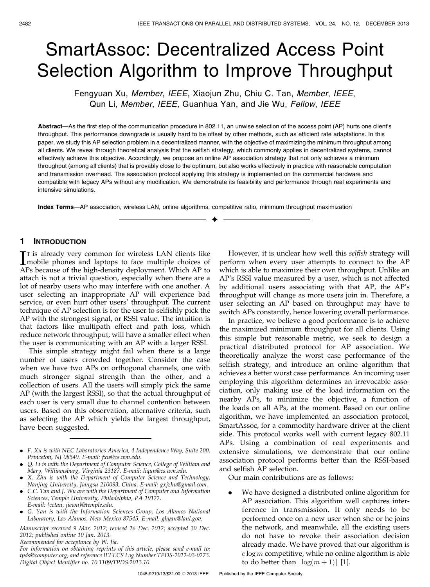# SmartAssoc: Decentralized Access Point Selection Algorithm to Improve Throughput

Fengyuan Xu, Member, IEEE, Xiaojun Zhu, Chiu C. Tan, Member, IEEE, Qun Li, Member, IEEE, Guanhua Yan, and Jie Wu, Fellow, IEEE

Abstract—As the first step of the communication procedure in 802.11, an unwise selection of the access point (AP) hurts one client's throughput. This performance downgrade is usually hard to be offset by other methods, such as efficient rate adaptations. In this paper, we study this AP selection problem in a decentralized manner, with the objective of maximizing the minimum throughput among all clients. We reveal through theoretical analysis that the selfish strategy, which commonly applies in decentralized systems, cannot effectively achieve this objective. Accordingly, we propose an online AP association strategy that not only achieves a minimum throughput (among all clients) that is provably close to the optimum, but also works effectively in practice with reasonable computation and transmission overhead. The association protocol applying this strategy is implemented on the commercial hardware and compatible with legacy APs without any modification. We demonstrate its feasibility and performance through real experiments and intensive simulations.

 $\ddotmark$ 

Index Terms—AP association, wireless LAN, online algorithms, competitive ratio, minimum throughput maximization

# 1 INTRODUCTION

 $\prod$ T is already very common for wireless LAN clients like<br>mobile phones and laptops to face multiple choices of<br>APs because of the high-density deployment Which AP to mobile phones and laptops to face multiple choices of APs because of the high-density deployment. Which AP to attach is not a trivial question, especially when there are a lot of nearby users who may interfere with one another. A user selecting an inappropriate AP will experience bad service, or even hurt other users' throughput. The current technique of AP selection is for the user to selfishly pick the AP with the strongest signal, or RSSI value. The intuition is that factors like multipath effect and path loss, which reduce network throughput, will have a smaller effect when the user is communicating with an AP with a larger RSSI.

This simple strategy might fail when there is a large number of users crowded together. Consider the case when we have two APs on orthogonal channels, one with much stronger signal strength than the other, and a collection of users. All the users will simply pick the same AP (with the largest RSSI), so that the actual throughput of each user is very small due to channel contention between users. Based on this observation, alternative criteria, such as selecting the AP which yields the largest throughput, have been suggested.

- . Q. Li is with the Department of Computer Science, College of William and Mary, Williamsburg, Virginia 23187. E-mail: liqun@cs.wm.edu.
- . X. Zhu is with the Department of Computer Science and Technology, Nanjing University, Jiangsu 210093, China. E-mail: gxjzhu@gmail.com.
- . C.C. Tan and J. Wu are with the Department of Computer and Information Sciences, Temple University, Philadelphia, PA 19122. E-mail: {cctan, jiewu}@temple.edu.
- . G. Yan is with the Information Sciences Group, Los Alamos National Laboratory, Los Alamos, New Mexico 87545. E-mail: ghyan@lanl.gov.

Manuscript received 9 Mar. 2012; revised 26 Dec. 2012; accepted 30 Dec. 2012; published online 10 Jan. 2013.

Recommended for acceptance by W. Jia.

However, it is unclear how well this *selfish* strategy will perform when every user attempts to connect to the AP which is able to maximize their own throughput. Unlike an AP's RSSI value measured by a user, which is not affected by additional users associating with that AP, the AP's throughput will change as more users join in. Therefore, a user selecting an AP based on throughput may have to switch APs constantly, hence lowering overall performance.

In practice, we believe a good performance is to achieve the maximized minimum throughput for all clients. Using this simple but reasonable metric, we seek to design a practical distributed protocol for AP association. We theoretically analyze the worst case performance of the selfish strategy, and introduce an online algorithm that achieves a better worst case performance. An incoming user employing this algorithm determines an irrevocable association, only making use of the load information on the nearby APs, to minimize the objective, a function of the loads on all APs, at the moment. Based on our online algorithm, we have implemented an association protocol, SmartAssoc, for a commodity hardware driver at the client side. This protocol works well with current legacy 802.11 APs. Using a combination of real experiments and extensive simulations, we demonstrate that our online association protocol performs better than the RSSI-based and selfish AP selection.

Our main contributions are as follows:

. We have designed a distributed online algorithm for AP association. This algorithm well captures interference in transmission. It only needs to be performed once on a new user when she or he joins the network, and meanwhile, all the existing users do not have to revoke their association decision already made. We have proved that our algorithm is  $e \log m$  competitive, while no online algorithm is able to do better than  $\lceil \log(m + 1) \rceil$  [1].

<sup>.</sup> F. Xu is with NEC Laboratories America, 4 Independence Way, Suite 200, Princeton, NJ 08540. E-mail: fxu@cs.wm.edu.

For information on obtaining reprints of this article, please send e-mail to: tpds@computer.org, and reference IEEECS Log Number TPDS-2012-03-0273. Digital Object Identifier no. 10.1109/TPDS.2013.10.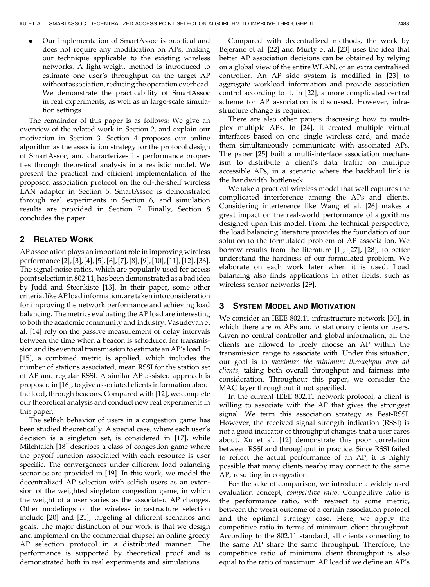. Our implementation of SmartAssoc is practical and does not require any modification on APs, making our technique applicable to the existing wireless networks. A light-weight method is introduced to estimate one user's throughput on the target AP without association, reducing the operation overhead. We demonstrate the practicability of SmartAssoc in real experiments, as well as in large-scale simulation settings.

The remainder of this paper is as follows: We give an overview of the related work in Section 2, and explain our motivation in Section 3. Section 4 proposes our online algorithm as the association strategy for the protocol design of SmartAssoc, and characterizes its performance properties through theoretical analysis in a realistic model. We present the practical and efficient implementation of the proposed association protocol on the off-the-shelf wireless LAN adapter in Section 5. SmartAssoc is demonstrated through real experiments in Section 6, and simulation results are provided in Section 7. Finally, Section 8 concludes the paper.

# 2 RELATED WORK

AP association plays an important role in improving wireless performance [2], [3], [4], [5], [6], [7], [8], [9], [10], [11], [12], [36]. The signal-noise ratios, which are popularly used for access point selection in 802.11, has been demonstrated as a bad idea by Judd and Steenkiste [13]. In their paper, some other criteria, like APloadinformation, are takeninto consideration for improving the network performance and achieving load balancing. The metrics evaluating the AP load are interesting to both the academic community and industry. Vasudevan et al. [14] rely on the passive measurement of delay intervals between the time when a beacon is scheduled for transmission and its eventual transmission to estimate an AP's load. In [15], a combined metric is applied, which includes the number of stations associated, mean RSSI for the station set of AP and regular RSSI. A similar AP-assisted approach is proposed in [16], to give associated clients information about the load, through beacons. Compared with [12], we complete our theoretical analysis and conduct new real experiments in this paper.

The selfish behavior of users in a congestion game has been studied theoretically. A special case, where each user's decision is a singleton set, is considered in [17], while Milchtaich [18] describes a class of congestion game where the payoff function associated with each resource is user specific. The convergences under different load balancing scenarios are provided in [19]. In this work, we model the decentralized AP selection with selfish users as an extension of the weighted singleton congestion game, in which the weight of a user varies as the associated AP changes. Other modelings of the wireless infrastructure selection include [20] and [21], targeting at different scenarios and goals. The major distinction of our work is that we design and implement on the commercial chipset an online greedy AP selection protocol in a distributed manner. The performance is supported by theoretical proof and is demonstrated both in real experiments and simulations.

Compared with decentralized methods, the work by Bejerano et al. [22] and Murty et al. [23] uses the idea that better AP association decisions can be obtained by relying on a global view of the entire WLAN, or an extra centralized controller. An AP side system is modified in [23] to aggregate workload information and provide association control according to it. In [22], a more complicated central scheme for AP association is discussed. However, infrastructure change is required.

There are also other papers discussing how to multiplex multiple APs. In [24], it created multiple virtual interfaces based on one single wireless card, and made them simultaneously communicate with associated APs. The paper [25] built a multi-interface association mechanism to distribute a client's data traffic on multiple accessible APs, in a scenario where the backhaul link is the bandwidth bottleneck.

We take a practical wireless model that well captures the complicated interference among the APs and clients. Considering interference like Wang et al. [26] makes a great impact on the real-world performance of algorithms designed upon this model. From the technical perspective, the load balancing literature provides the foundation of our solution to the formulated problem of AP association. We borrow results from the literature [1], [27], [28], to better understand the hardness of our formulated problem. We elaborate on each work later when it is used. Load balancing also finds applications in other fields, such as wireless sensor networks [29].

## 3 SYSTEM MODEL AND MOTIVATION

We consider an IEEE 802.11 infrastructure network [30], in which there are  $m$  APs and  $n$  stationary clients or users. Given no central controller and global information, all the clients are allowed to freely choose an AP within the transmission range to associate with. Under this situation, our goal is to maximize the minimum throughput over all clients, taking both overall throughput and fairness into consideration. Throughout this paper, we consider the MAC layer throughput if not specified.

In the current IEEE 802.11 network protocol, a client is willing to associate with the AP that gives the strongest signal. We term this association strategy as Best-RSSI. However, the received signal strength indication (RSSI) is not a good indicator of throughput changes that a user cares about. Xu et al. [12] demonstrate this poor correlation between RSSI and throughput in practice. Since RSSI failed to reflect the actual performance of an AP, it is highly possible that many clients nearby may connect to the same AP, resulting in congestion.

For the sake of comparison, we introduce a widely used evaluation concept, competitive ratio. Competitive ratio is the performance ratio, with respect to some metric, between the worst outcome of a certain association protocol and the optimal strategy case. Here, we apply the competitive ratio in terms of minimum client throughput. According to the 802.11 standard, all clients connecting to the same AP share the same throughput. Therefore, the competitive ratio of minimum client throughput is also equal to the ratio of maximum AP load if we define an AP's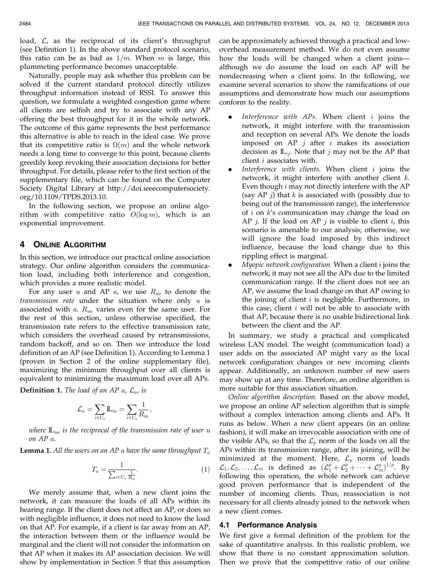load,  $\mathcal{L}$ , as the reciprocal of its client's throughput (see Definition 1). In the above standard protocol scenario, this ratio can be as bad as  $1/m$ . When m is large, this plummeting performance becomes unacceptable.

Naturally, people may ask whether this problem can be solved if the current standard protocol directly utilizes throughput information instead of RSSI. To answer this question, we formulate a weighted congestion game where all clients are selfish and try to associate with any AP offering the best throughput for it in the whole network. The outcome of this game represents the best performance this alternative is able to reach in the ideal case. We prove that its competitive ratio is  $\Omega(m)$  and the whole network needs a long time to converge to this point, because clients greedily keep revoking their association decisions for better throughput. For details, please refer to the first section of the supplementary file, which can be found on the Computer Society Digital Library at http://doi.ieeecomputersociety. org/10.1109/TPDS.2013.10.

In the following section, we propose an online algorithm with competitive ratio  $O(\log m)$ , which is an exponential improvement.

# 4 ONLINE ALGORITHM

In this section, we introduce our practical online association strategy. Our online algorithm considers the communication load, including both interference and congestion, which provides a more realistic model.

For any user  $u$  and AP  $a$ , we use  $R_{ua}$  to denote the transmission rate under the situation where only  $u$  is associated with  $a. R_{ua}$  varies even for the same user. For the rest of this section, unless otherwise specified, the transmission rate refers to the effective transmission rate, which considers the overhead caused by retransmissions, random backoff, and so on. Then we introduce the load definition of an AP (see Definition 1). According to Lemma 1 (proven in Section 2 of the online supplementary file), maximizing the minimum throughput over all clients is equivalent to minimizing the maximum load over all APs.

**Definition 1.** The load of an AP  $a$ ,  $\mathcal{L}_a$ , is

$$
\mathcal{L}_a = \sum_{i \in U_a} \mathbb{L}_{ia} = \sum_{i \in U_a} \frac{1}{R_{ia}},
$$

where  $\mathbb{L}_{ua}$  is the reciprocal of the transmission rate of user u on AP a.

**Lemma 1.** All the users on an AP a have the same throughput  $T_a$ 

$$
T_a = \frac{1}{\sum_{i \in U_a} \frac{1}{R_{ia}}}.
$$
\n<sup>(1)</sup>

We merely assume that, when a new client joins the network, it can measure the loads of all APs within its hearing range. If the client does not affect an AP, or does so with negligible influence, it does not need to know the load on that AP. For example, if a client is far away from an AP, the interaction between them or the influence would be marginal and the client will not consider the information on that AP when it makes its AP association decision. We will show by implementation in Section 5 that this assumption can be approximately achieved through a practical and lowoverhead measurement method. We do not even assume how the loads will be changed when a client joins although we do assume the load on each AP will be nondecreasing when a client joins. In the following, we examine several scenarios to show the ramifications of our assumptions and demonstrate how much our assumptions conform to the reality.

- Interference with  $APs$ . When client  $i$  joins the network, it might interfere with the transmission and reception on several APs. We denote the loads imposed on  $AP$  *j* after *i* makes its association decision as  $\mathbb{L}_{ij}$ . Note that j may not be the AP that client  $i$  associates with.
- Interference with clients. When client  $i$  joins the network, it might interfere with another client k. Even though  $i$  may not directly interfere with the AP (say AP  $j$ ) that  $k$  is associated with (possibly due to being out of the transmission range), the interference of  $i$  on  $k$ 's communication may change the load on AP  $j$ . If the load on AP  $j$  is visible to client  $i$ , this scenario is amenable to our analysis; otherwise, we will ignore the load imposed by this indirect influence, because the load change due to this rippling effect is marginal.
- Myopic network configuration. When a client  $i$  joins the network, it may not see all the APs due to the limited communication range. If the client does not see an AP, we assume the load change on that AP owing to the joining of client  $i$  is negligible. Furthermore, in this case, client  $i$  will not be able to associate with that AP, because there is no usable bidirectional link between the client and the AP.

In summary, we study a practical and complicated wireless LAN model. The weight (communication load) a user adds on the associated AP might vary as the local network configuration changes or new incoming clients appear. Additionally, an unknown number of new users may show up at any time. Therefore, an online algorithm is more suitable for this association situation.

Online algorithm description. Based on the above model, we propose an online AP selection algorithm that is simple without a complex interaction among clients and APs. It runs as below. When a new client appears (in an online fashion), it will make an irrevocable association with one of the visible APs, so that the  $\mathcal{L}_p$  norm of the loads on all the APs within its transmission range, after its joining, will be minimized at the moment. Here,  $\mathcal{L}_p$  norm of loads  $\mathcal{L}_1, \mathcal{L}_2, \ldots, \mathcal{L}_m$  is defined as  $(\mathcal{L}_1^p + \mathcal{L}_2^p + \cdots + \mathcal{L}_m^p)^{1/p}$ . By following this operation, the whole network can achieve good proven performance that is independent of the number of incoming clients. Thus, reassociation is not necessary for all clients already joined to the network when a new client comes.

#### 4.1 Performance Analysis

We first give a formal definition of the problem for the sake of quantitative analysis. In this realistic problem, we show that there is no constant approximation solution. Then we prove that the competitive ratio of our online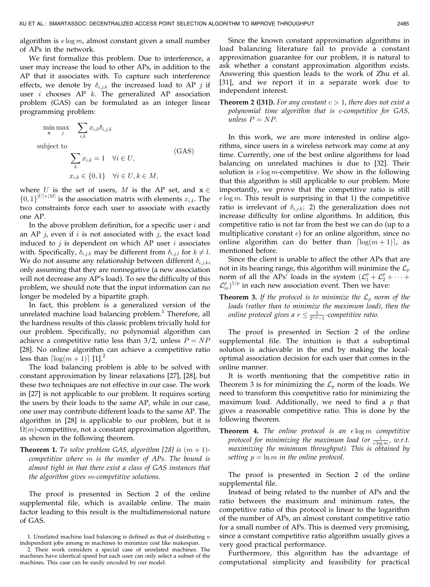algorithm is  $e \log m$ , almost constant given a small number of APs in the network.

We first formalize this problem. Due to interference, a user may increase the load to other APs, in addition to the AP that it associates with. To capture such interference effects, we denote by  $\delta_{i,j,k}$  the increased load to AP j if user  $i$  chooses AP  $k$ . The generalized AP association problem (GAS) can be formulated as an integer linear programming problem:

$$
\min_{\mathbf{x}} \max_{j} \quad \sum_{i,k} x_{i,k} \delta_{i,j,k}
$$

subject to

$$
\sum_{k} x_{i,k} = 1 \quad \forall i \in U,
$$
\n
$$
x_{i,k} \in \{0,1\} \quad \forall i \in U, k \in M,
$$
\n
$$
(GAS)
$$

where U is the set of users, M is the AP set, and  $x \in$  $\{0,1\}^{|U|\times|M|}$  is the association matrix with elements  $x_{i,k}$ . The two constraints force each user to associate with exactly one AP.

In the above problem definition, for a specific user  $i$  and an AP  $j$ , even if  $i$  is not associated with  $j$ , the exact load induced to  $j$  is dependent on which AP user  $i$  associates with. Specifically,  $\delta_{i,j,k}$  may be different from  $\delta_{i,j,l}$  for  $k\neq l$ . We do not assume any relationship between different  $\delta_{i,j,k}$ , only assuming that they are nonnegative (a new association will not decrease any AP's load). To see the difficulty of this problem, we should note that the input information can no longer be modeled by a bipartite graph.

In fact, this problem is a generalized version of the unrelated machine load balancing problem.<sup>1</sup> Therefore, all the hardness results of this classic problem trivially hold for our problem. Specifically, no polynomial algorithm can achieve a competitive ratio less than 3/2, unless  $P = NP$ [28]. No online algorithm can achieve a competitive ratio less than  $\lceil \log(m + 1) \rceil$  [1].<sup>2</sup>

The load balancing problem is able to be solved with constant approximation by linear relaxations [27], [28], but these two techniques are not effective in our case. The work in [27] is not applicable to our problem. It requires sorting the users by their loads to the same AP, while in our case, one user may contribute different loads to the same AP. The algorithm in [28] is applicable to our problem, but it is  $\Omega(m)$ -competitive, not a constant approximation algorithm, as shown in the following theorem.

**Theorem 1.** To solve problem GAS, algorithm [28] is  $(m + 1)$ competitive where m is the number of APs. The bound is almost tight in that there exist a class of GAS instances that the algorithm gives m-competitive solutions.

The proof is presented in Section 2 of the online supplemental file, which is available online. The main factor leading to this result is the multidimensional nature of GAS.

Since the known constant approximation algorithms in load balancing literature fail to provide a constant approximation guarantee for our problem, it is natural to ask whether a constant approximation algorithm exists. Answering this question leads to the work of Zhu et al. [31], and we report it in a separate work due to independent interest.

**Theorem 2 ([31]).** For any constant  $c > 1$ , there does not exist a polynomial time algorithm that is c-competitive for GAS, unless  $P = NP$ .

In this work, we are more interested in online algorithms, since users in a wireless network may come at any time. Currently, one of the best online algorithms for load balancing on unrelated machines is due to [32]. Their solution is  $e \log m$ -competitive. We show in the following that this algorithm is still applicable to our problem. More importantly, we prove that the competitive ratio is still  $e \log m$ . This result is surprising in that 1) the competitive ratio is irrelevant of  $\delta_{i,j,k};$  2) the generalization does not increase difficulty for online algorithms. In addition, this competitive ratio is not far from the best we can do (up to a multiplicative constant  $e$ ) for an online algorithm, since no online algorithm can do better than  $\lceil \log(m+1) \rceil$ , as mentioned before.

Since the client is unable to affect the other APs that are not in its hearing range, this algorithm will minimize the  $\mathcal{L}_p$ norm of all the APs' loads in the system  $(\mathcal{L}_1^p + \mathcal{L}_2^p + \cdots +$  $\mathcal{L}_m^p$ )<sup>1/p</sup> in each new association event. Then we have:

**Theorem 3.** If the protocol is to minimize the  $\mathcal{L}_p$  norm of the loads (rather than to minimize the maximum load), then the online protocol gives a  $r \leq \frac{1}{2^{1/p}-1}$ -competitive ratio.

The proof is presented in Section 2 of the online supplemental file. The intuition is that a suboptimal solution is achievable in the end by making the localoptimal association decision for each user that comes in the online manner.

It is worth mentioning that the competitive ratio in Theorem 3 is for minimizing the  $\mathcal{L}_p$  norm of the loads. We need to transform this competitive ratio for minimizing the maximum load. Additionally, we need to find a  $p$  that gives a reasonable competitive ratio. This is done by the following theorem.

**Theorem 4.** The online protocol is an  $e \log m$  competitive protocol for minimizing the maximum load (or  $\frac{1}{e \log m}$ , w.r.t. maximizing the minimum throughput). This is obtained by setting  $p = \ln m$  in the online protocol.

The proof is presented in Section 2 of the online supplemental file.

Instead of being related to the number of APs and the ratio between the maximum and minimum rates, the competitive ratio of this protocol is linear to the logarithm of the number of APs, an almost constant competitive ratio for a small number of APs. This is deemed very promising, since a constant competitive ratio algorithm usually gives a very good practical performance.

Furthermore, this algorithm has the advantage of computational simplicity and feasibility for practical

<sup>1.</sup> Unrelated machine load balancing is defined as that of distributing  $\boldsymbol{n}$ independent jobs among m machines to minimize cost like makespan.

<sup>2.</sup> Their work considers a special case of unrelated machines. The machines have identical speed but each user can only select a subset of the machines. This case can be easily encoded by our model.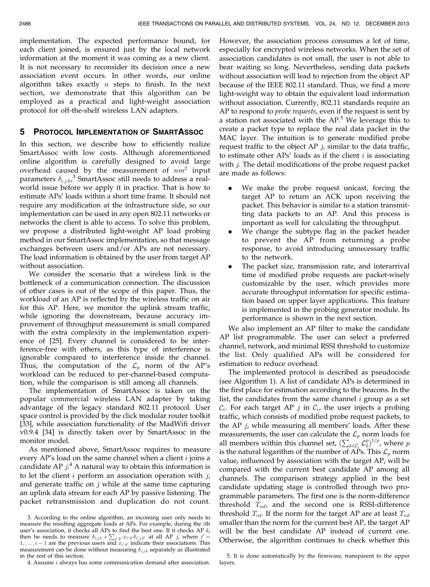implementation. The expected performance bound, for each client joined, is ensured just by the local network information at the moment it was coming as a new client. It is not necessary to reconsider its decision once a new association event occurs. In other words, our online algorithm takes exactly  $n$  steps to finish. In the next section, we demonstrate that this algorithm can be employed as a practical and light-weight association protocol for off-the-shelf wireless LAN adapters.

# 5 PROTOCOL IMPLEMENTATION OF SMARTASSOC

In this section, we describe how to efficiently realize SmartAssoc with low costs. Although aforementioned online algorithm is carefully designed to avoid large overhead caused by the measurement of  $nm^2$  input parameters  $\delta_{i,j,k}$ ,<sup>3</sup> SmartAssoc still needs to address a realworld issue before we apply it in practice. That is how to estimate APs' loads within a short time frame. It should not require any modification at the infrastructure side, so our implementation can be used in any open 802.11 networks or networks the client is able to access. To solve this problem, we propose a distributed light-weight AP load probing method in our SmartAssoc implementation, so that message exchanges between users and/or APs are not necessary. The load information is obtained by the user from target AP without association.

We consider the scenario that a wireless link is the bottleneck of a communication connection. The discussion of other cases is out of the scope of this paper. Thus, the workload of an AP is reflected by the wireless traffic on air for this AP. Here, we monitor the uplink stream traffic, while ignoring the downstream, because accuracy improvement of throughput measurement is small compared with the extra complexity in the implementation experience of [25]. Every channel is considered to be interference-free with others, as this type of interference is ignorable compared to interference inside the channel. Thus, the computation of the  $\mathcal{L}_p$  norm of the AP's workload can be reduced to per-channel-based computation, while the comparison is still among all channels.

The implementation of SmartAssoc is taken on the popular commercial wireless LAN adapter by taking advantage of the legacy standard 802.11 protocol. User space control is provided by the click modular router toolkit [33], while association functionality of the MadWifi driver v0.9.4 [34] is directly taken over by SmartAssoc in the monitor model.

As mentioned above, SmartAssoc requires to measure every AP's load on the same channel when a client  $i$  joins a candidate AP  $j$ .<sup>4</sup> A natural way to obtain this information is to let the client  $i$  perform an association operation with  $j$ , and generate traffic on  $j$  while at the same time capturing an uplink data stream for each AP by passive listening. The packet retransmission and duplication do not count. However, the association process consumes a lot of time, especially for encrypted wireless networks. When the set of association candidates is not small, the user is not able to bear waiting so long. Nevertheless, sending data packets without association will lead to rejection from the object AP because of the IEEE 802.11 standard. Thus, we find a more light-weight way to obtain the equivalent load information without association. Currently, 802.11 standards require an AP to respond to *probe requests*, even if the request is sent by a station not associated with the  $AP<sup>5</sup>$  We leverage this to create a packet type to replace the real data packet in the MAC layer. The intuition is to generate modified probe request traffic to the object AP  $j$ , similar to the data traffic, to estimate other  $APs'$  loads as if the client  $i$  is associating with  $j$ . The detail modifications of the probe request packet are made as follows:

- . We make the probe request unicast, forcing the target AP to return an ACK upon receiving the packet. This behavior is similar to a station transmitting data packets to an AP. And this process is important as well for calculating the throughput.
- . We change the subtype flag in the packet header to prevent the AP from returning a probe response, to avoid introducing unnecessary traffic to the network.
- . The packet size, transmission rate, and interarrival time of modified probe requests are packet-wisely customizable by the user, which provides more accurate throughput information for specific estimation based on upper layer applications. This feature is implemented in the probing generator module. Its performance is shown in the next section.

We also implement an AP filter to make the candidate AP list programmable. The user can select a preferred channel, network, and minimal RSSI threshold to customize the list. Only qualified APs will be considered for estimation to reduce overhead.

The implemented protocol is described as pseudocode (see Algorithm 1). A list of candidate APs is determined in the first place for estimation according to the beacons. In the list, the candidates from the same channel  $i$  group as a set  $C_i$ . For each target AP j in  $C_i$ , the user injects a probing traffic, which consists of modified probe request packets, to the AP  $j$ , while measuring all members' loads. After these measurements, the user can calculate the  $\mathcal{L}_p$  norm loads for all members within this channel set,  $(\sum_{k \in C_i} \mathcal{L}_k^p)^{1/p}$ , where p is the natural logarithm of the number of APs. This  $\mathcal{L}_p$  norm value, influenced by association with the target AP, will be compared with the current best candidate AP among all channels. The comparison strategy applied in the best candidate updating stage is controlled through two programmable parameters. The first one is the norm-difference threshold  $T_{nd}$ , and the second one is RSSI-difference threshold  $T_{rd}$ . If the norm for the target AP are at least  $T_{nd}$ smaller than the norm for the current best AP, the target AP will be the best candidate AP instead of current one. Otherwise, the algorithm continues to check whether this

<sup>3.</sup> According to the online algorithm, an incoming user only needs to measure the resulting aggregate loads at APs. For example, during the ith user's association, it checks all APs to find the best one. If it checks AP  $k$ , then he needs to measure  $\delta_{i,j,k} + \sum_{i',k'} x_{i',k'} \delta_{i',j,k'}$  at all AP j, where  $i' =$  $1, \ldots, i-1$  are the previous users and  $x_{i',k'}$  indicate their associations. This measurement can be done without measuring  $\delta_{i,j,k}$  separately as illustrated in the rest of this section.

<sup>4.</sup> Assume  $i$  always has some communication demand after association.

<sup>5.</sup> It is done automatically by the firmware, transparent to the upper layers.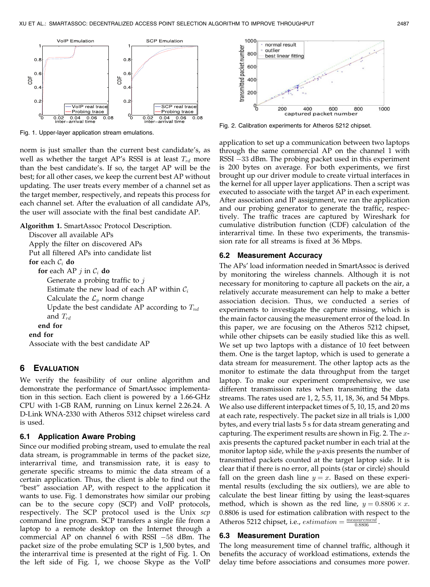

Fig. 1. Upper-layer application stream emulations.

norm is just smaller than the current best candidate's, as well as whether the target AP's RSSI is at least  $T_{rd}$  more than the best candidate's. If so, the target AP will be the best; for all other cases, we keep the current best AP without updating. The user treats every member of a channel set as the target member, respectively, and repeats this process for each channel set. After the evaluation of all candidate APs, the user will associate with the final best candidate AP.

Algorithm 1. SmartAssoc Protocol Description.

```
Discover all available APs
Apply the filter on discovered APs
Put all filtered APs into candidate list
for each C_i do
  for each AP j in C_i do
     Generate a probing traffic to jEstimate the new load of each AP within C_iCalculate the \mathcal{L}_p norm change
     Update the best candidate AP according to T_{nd}and T_{rd}end for
end for
Associate with the best candidate AP
```
# 6 EVALUATION

We verify the feasibility of our online algorithm and demonstrate the performance of SmartAssoc implementation in this section. Each client is powered by a 1.66-GHz CPU with 1-GB RAM, running on Linux kernel 2.26.24. A D-Link WNA-2330 with Atheros 5312 chipset wireless card is used.

#### 6.1 Application Aware Probing

Since our modified probing stream, used to emulate the real data stream, is programmable in terms of the packet size, interarrival time, and transmission rate, it is easy to generate specific streams to mimic the data stream of a certain application. Thus, the client is able to find out the "best" association AP, with respect to the application it wants to use. Fig. 1 demonstrates how similar our probing can be to the secure copy (SCP) and VoIP protocols, respectively. The SCP protocol used is the Unix scp command line program. SCP transfers a single file from a laptop to a remote desktop on the Internet through a commercial AP on channel 6 with RSSI  $-58$  dBm. The packet size of the probe emulating SCP is 1,500 bytes, and the interarrival time is presented at the right of Fig. 1. On the left side of Fig. 1, we choose Skype as the VoIP



Fig. 2. Calibration experiments for Atheros 5212 chipset.

application to set up a communication between two laptops through the same commercial AP on the channel 1 with RSSI  $-33$  dBm. The probing packet used in this experiment is 200 bytes on average. For both experiments, we first brought up our driver module to create virtual interfaces in the kernel for all upper layer applications. Then a script was executed to associate with the target AP in each experiment. After association and IP assignment, we ran the application and our probing generator to generate the traffic, respectively. The traffic traces are captured by Wireshark for cumulative distribution function (CDF) calculation of the interarrival time. In these two experiments, the transmission rate for all streams is fixed at 36 Mbps.

#### 6.2 Measurement Accuracy

The APs' load information needed in SmartAssoc is derived by monitoring the wireless channels. Although it is not necessary for monitoring to capture all packets on the air, a relatively accurate measurement can help to make a better association decision. Thus, we conducted a series of experiments to investigate the capture missing, which is the main factor causing the measurement error of the load. In this paper, we are focusing on the Atheros 5212 chipset, while other chipsets can be easily studied like this as well. We set up two laptops with a distance of 10 feet between them. One is the target laptop, which is used to generate a data stream for measurement. The other laptop acts as the monitor to estimate the data throughput from the target laptop. To make our experiment comprehensive, we use different transmission rates when transmitting the data streams. The rates used are 1, 2, 5.5, 11, 18, 36, and 54 Mbps. We also use different interpacket times of 5, 10, 15, and 20 ms at each rate, respectively. The packet size in all trials is 1,000 bytes, and every trial lasts 5 s for data stream generating and capturing. The experiment results are shown in Fig. 2. The  $x$ axis presents the captured packet number in each trial at the monitor laptop side, while the  $y$ -axis presents the number of transmitted packets counted at the target laptop side. It is clear that if there is no error, all points (star or circle) should fall on the green dash line  $y = x$ . Based on these experimental results (excluding the six outliers), we are able to calculate the best linear fitting by using the least-squares method, which is shown as the red line,  $y = 0.8806 \times x$ . 0.8806 is used for estimation calibration with respect to the Atheros 5212 chipset, i.e.,  $estimation = \frac{measurement}{0.8806}$ .

#### 6.3 Measurement Duration

The long measurement time of channel traffic, although it benefits the accuracy of workload estimations, extends the delay time before associations and consumes more power.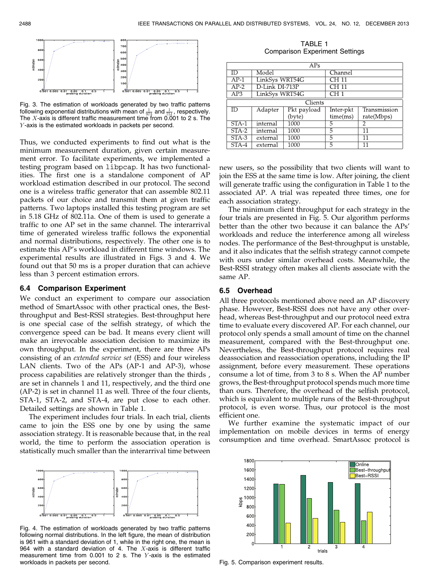

Fig. 3. The estimation of workloads generated by two traffic patterns following exponential distributions with mean of  $\frac{1}{973}$  and  $\frac{1}{751}$ , respectively. The  $X$ -axis is different traffic measurement time from 0.001 to 2 s. The Y-axis is the estimated workloads in packets per second.

Thus, we conducted experiments to find out what is the minimum measurement duration, given certain measurement error. To facilitate experiments, we implemented a testing program based on libpcap. It has two functionalities. The first one is a standalone component of AP workload estimation described in our protocol. The second one is a wireless traffic generator that can assemble 802.11 packets of our choice and transmit them at given traffic patterns. Two laptops installed this testing program are set in 5.18 GHz of 802.11a. One of them is used to generate a traffic to one AP set in the same channel. The interarrival time of generated wireless traffic follows the exponential and normal distributions, respectively. The other one is to estimate this AP's workload in different time windows. The experimental results are illustrated in Figs. 3 and 4. We found out that 50 ms is a proper duration that can achieve less than 3 percent estimation errors.

#### 6.4 Comparison Experiment

We conduct an experiment to compare our association method of SmartAssoc with other practical ones, the Bestthroughput and Best-RSSI strategies. Best-throughput here is one special case of the selfish strategy, of which the convergence speed can be bad. It means every client will make an irrevocable association decision to maximize its own throughput. In the experiment, there are three APs consisting of an extended service set (ESS) and four wireless LAN clients. Two of the APs (AP-1 and AP-3), whose process capabilities are relatively stronger than the thirds , are set in channels 1 and 11, respectively, and the third one (AP-2) is set in channel 11 as well. Three of the four clients, STA-1, STA-2, and STA-4, are put close to each other. Detailed settings are shown in Table 1.

The experiment includes four trials. In each trial, clients came to join the ESS one by one by using the same association strategy. It is reasonable because that, in the real world, the time to perform the association operation is statistically much smaller than the interarrival time between



Fig. 4. The estimation of workloads generated by two traffic patterns following normal distributions. In the left figure, the mean of distribution is 961 with a standard deviation of 1, while in the right one, the mean is 964 with a standard deviation of 4. The  $X$ -axis is different traffic measurement time from 0.001 to 2 s. The  $Y$ -axis is the estimated workloads in packets per second.

TABLE 1 Comparison Experiment Settings

| APs                |                |             |                 |              |
|--------------------|----------------|-------------|-----------------|--------------|
| $\overline{ID}$    | Model          |             | Channel         |              |
| $AP-1$             | LinkSys WRT54G |             | <b>CH11</b>     |              |
| $\overline{AP-2}$  | D-Link DI-713P |             | <b>CH 11</b>    |              |
| AP3                | LinkSys WRT54G |             | CH <sub>1</sub> |              |
| Clients            |                |             |                 |              |
| ID                 | Adapter        | Pkt payload | Inter-pkt       | Transmission |
|                    |                | (byte)      | time(ms)        | rate(Mbps)   |
| $\overline{STA-1}$ | internal       | 1000        | 5               | 2            |
| $STA-2$            | internal       | 1000        | 5               | 11           |
| $STA-3$            | external       | 1000        | 5               | 11           |
| $STA-4$            | external       | 1000        | 5               | 11           |

new users, so the possibility that two clients will want to join the ESS at the same time is low. After joining, the client will generate traffic using the configuration in Table 1 to the associated AP. A trial was repeated three times, one for each association strategy.

The minimum client throughput for each strategy in the four trials are presented in Fig. 5. Our algorithm performs better than the other two because it can balance the APs' workloads and reduce the interference among all wireless nodes. The performance of the Best-throughput is unstable, and it also indicates that the selfish strategy cannot compete with ours under similar overhead costs. Meanwhile, the Best-RSSI strategy often makes all clients associate with the same AP.

#### 6.5 Overhead

All three protocols mentioned above need an AP discovery phase. However, Best-RSSI does not have any other overhead, whereas Best-throughput and our protocol need extra time to evaluate every discovered AP. For each channel, our protocol only spends a small amount of time on the channel measurement, compared with the Best-throughput one. Nevertheless, the Best-throughput protocol requires real deassociation and reassociation operations, including the IP assignment, before every measurement. These operations consume a lot of time, from 3 to 8 s. When the AP number grows, the Best-throughput protocol spends much more time than ours. Therefore, the overhead of the selfish protocol, which is equivalent to multiple runs of the Best-throughput protocol, is even worse. Thus, our protocol is the most efficient one.

We further examine the systematic impact of our implementation on mobile devices in terms of energy consumption and time overhead. SmartAssoc protocol is



Fig. 5. Comparison experiment results.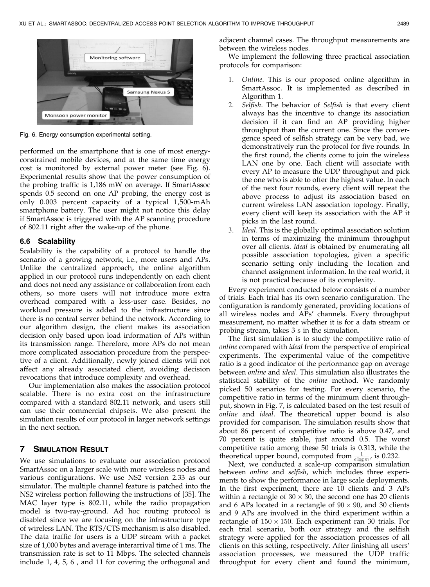

Fig. 6. Energy consumption experimental setting.

performed on the smartphone that is one of most energyconstrained mobile devices, and at the same time energy cost is monitored by external power meter (see Fig. 6). Experimental results show that the power consumption of the probing traffic is 1,186 mW on average. If SmartAssoc spends 0.5 second on one AP probing, the energy cost is only 0.003 percent capacity of a typical 1,500-mAh smartphone battery. The user might not notice this delay if SmartAssoc is triggered with the AP scanning procedure of 802.11 right after the wake-up of the phone.

#### 6.6 Scalability

Scalability is the capability of a protocol to handle the scenario of a growing network, i.e., more users and APs. Unlike the centralized approach, the online algorithm applied in our protocol runs independently on each client and does not need any assistance or collaboration from each others, so more users will not introduce more extra overhead compared with a less-user case. Besides, no workload pressure is added to the infrastructure since there is no central server behind the network. According to our algorithm design, the client makes its association decision only based upon load information of APs within its transmission range. Therefore, more APs do not mean more complicated association procedure from the perspective of a client. Additionally, newly joined clients will not affect any already associated client, avoiding decision revocations that introduce complexity and overhead.

Our implementation also makes the association protocol scalable. There is no extra cost on the infrastructure compared with a standard 802.11 network, and users still can use their commercial chipsets. We also present the simulation results of our protocol in larger network settings in the next section.

## 7 SIMULATION RESULT

We use simulations to evaluate our association protocol SmartAssoc on a larger scale with more wireless nodes and various configurations. We use NS2 version 2.33 as our simulator. The multiple channel feature is patched into the NS2 wireless portion following the instructions of [35]. The MAC layer type is 802.11, while the radio propagation model is two-ray-ground. Ad hoc routing protocol is disabled since we are focusing on the infrastructure type of wireless LAN. The RTS/CTS mechanism is also disabled. The data traffic for users is a UDP stream with a packet size of 1,000 bytes and average interarrival time of 1 ms. The transmission rate is set to 11 Mbps. The selected channels include 1, 4, 5, 6 , and 11 for covering the orthogonal and

adjacent channel cases. The throughput measurements are between the wireless nodes.

We implement the following three practical association protocols for comparison:

- 1. Online. This is our proposed online algorithm in SmartAssoc. It is implemented as described in Algorithm 1.
- 2. Selfish. The behavior of Selfish is that every client always has the incentive to change its association decision if it can find an AP providing higher throughput than the current one. Since the convergence speed of selfish strategy can be very bad, we demonstratively run the protocol for five rounds. In the first round, the clients come to join the wireless LAN one by one. Each client will associate with every AP to measure the UDP throughput and pick the one who is able to offer the highest value. In each of the next four rounds, every client will repeat the above process to adjust its association based on current wireless LAN association topology. Finally, every client will keep its association with the AP it picks in the last round.
- Ideal. This is the globally optimal association solution in terms of maximizing the minimum throughput over all clients. Ideal is obtained by enumerating all possible association topologies, given a specific scenario setting only including the location and channel assignment information. In the real world, it is not practical because of its complexity.

Every experiment conducted below consists of a number of trials. Each trial has its own scenario configuration. The configuration is randomly generated, providing locations of all wireless nodes and APs' channels. Every throughput measurement, no matter whether it is for a data stream or probing stream, takes 3 s in the simulation.

The first simulation is to study the competitive ratio of online compared with ideal from the perspective of empirical experiments. The experimental value of the competitive ratio is a good indicator of the performance gap on average between online and ideal. This simulation also illustrates the statistical stability of the online method. We randomly picked 50 scenarios for testing. For every scenario, the competitive ratio in terms of the minimum client throughput, shown in Fig. 7, is calculated based on the test result of online and ideal. The theoretical upper bound is also provided for comparison. The simulation results show that about 86 percent of competitive ratio is above 0.47, and 70 percent is quite stable, just around 0.5. The worst competitive ratio among these 50 trials is 0.313, while the theoretical upper bound, computed from  $\frac{1}{e \log m}$ , is 0.232.

Next, we conducted a scale-up comparison simulation between online and selfish, which includes three experiments to show the performance in large scale deployments. In the first experiment, there are 10 clients and 3 APs within a rectangle of  $30 \times 30$ , the second one has 20 clients and 6 APs located in a rectangle of  $90 \times 90$ , and 30 clients and 9 APs are involved in the third experiment within a rectangle of  $150 \times 150$ . Each experiment ran 30 trials. For each trial scenario, both our strategy and the selfish strategy were applied for the association processes of all clients on this setting, respectively. After finishing all users' association processes, we measured the UDP traffic throughput for every client and found the minimum,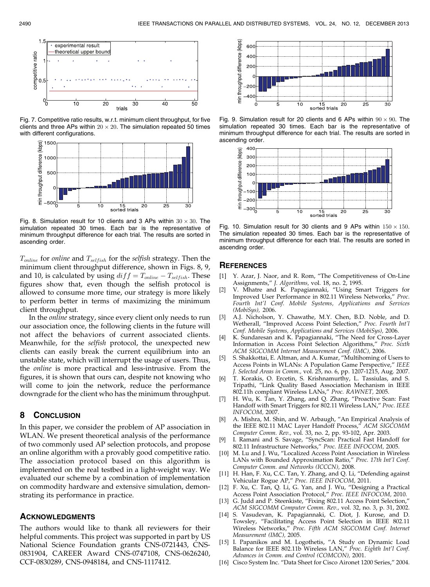

Fig. 7. Competitive ratio results, w.r.t. minimum client throughput, for five with different configurations.



Fig. 8. Simulation result for 10 clients and 3 APs within  $30 \times 30$ . The simulation repeated 30 times. Each bar is the representative of minimum throughput difference for each trial. The results are sorted in ascending order.

 $T_{online}$  for *online* and  $T_{selfish}$  for the *selfish* strategy. Then the minimum client throughput difference, shown in Figs. 8, 9, and 10, is calculated by using  $diff = T_{online} - T_{selfish}$ . These figures show that, even though the selfish protocol is allowed to consume more time, our strategy is more likely to perform better in terms of maximizing the minimum client throughput.

In the online strategy, since every client only needs to run our association once, the following clients in the future will not affect the behaviors of current associated clients. Meanwhile, for the selfish protocol, the unexpected new clients can easily break the current equilibrium into an unstable state, which will interrupt the usage of users. Thus, the online is more practical and less-intrusive. From the figures, it is shown that ours can, despite not knowing who will come to join the network, reduce the performance downgrade for the client who has the minimum throughput.

#### 8 CONCLUSION

In this paper, we consider the problem of AP association in WLAN. We present theoretical analysis of the performance of two commonly used AP selection protocols, and propose an online algorithm with a provably good competitive ratio. The association protocol based on this algorithm is implemented on the real testbed in a light-weight way. We evaluated our scheme by a combination of implementation on commodity hardware and extensive simulation, demonstrating its performance in practice.

#### ACKNOWLEDGMENTS

The authors would like to thank all reviewers for their helpful comments. This project was supported in part by US National Science Foundation grants CNS-0721443, CNS-0831904, CAREER Award CNS-0747108, CNS-0626240, CCF-0830289, CNS-0948184, and CNS-1117412.



Fig. 9. Simulation result for 20 clients and 6 APs within  $90 \times 90$ . The simulation repeated 30 times. Each bar is the representative of minimum throughput difference for each trial. The results are sorted in ascending order.



Fig. 10. Simulation result for 30 clients and 9 APs within  $150 \times 150$ . The simulation repeated 30 times. Each bar is the representative of minimum throughput difference for each trial. The results are sorted in ascending order.

#### **REFERENCES**

- [1] Y. Azar, J. Naor, and R. Rom, "The Competitiveness of On-Line Assignments," J. Algorithms, vol. 18, no. 2, 1995.
- [2] V. Mhatre and K. Papagiannaki, "Using Smart Triggers for Improved User Performance in 802.11 Wireless Networks," Proc. Fourth Int'l Conf. Mobile Systems, Applications and Services (MobiSys), 2006.
- [3] A.J. Nicholson, Y. Chawathe, M.Y. Chen, B.D. Noble, and D. Wetherall, "Improved Access Point Selection," Proc. Fourth Int'l Conf. Mobile Systems, Applications and Services (MobiSys), 2006.
- [4] K. Sundaresan and K. Papagiannaki, "The Need for Cross-Layer Information in Access Point Selection Algorithms," Proc. Sixth ACM SIGCOMM Internet Measurement Conf. (IMC), 2006.
- [5] S. Shakkottai, E. Altman, and A. Kumar, "Multihoming of Users to Access Points in WLANs: A Population Game Perspective," IEEE J. Selected Areas in Comm., vol. 25, no. 6, pp. 1207-1215, Aug. 2007.
- [6] T. Korakis, O. Ercetin, S. Krishnamurthy, L. Tassiulas, and S. Tripathi, "Link Quality Based Association Mechanism in IEEE 802.11h compliant Wireless LANs," Proc. RAWNET, 2005.
- [7] H. Wu, K. Tan, Y. Zhang, and Q. Zhang, "Proactive Scan: Fast Handoff with Smart Triggers for 802.11 Wireless LAN," Proc. IEEE INFOCOM, 2007.
- [8] A. Mishra, M. Shin, and W. Arbaugh, "An Empirical Analysis of the IEEE 802.11 MAC Layer Handoff Process," ACM SIGCOMM Computer Comm. Rev., vol. 33, no. 2, pp. 93-102, Apr. 2003.
- I. Ramani and S. Savage, "SyncScan: Practical Fast Handoff for 802.11 Infrastructure Networks," Proc. IEEE INFOCOM, 2005.
- [10] M. Lu and J. Wu, "Localized Access Point Association in Wireless LANs with Bounded Approximation Ratio," Proc. 17th Int'l Conf. Computer Comm. and Networks (ICCCN), 2008.
- [11] H. Han, F. Xu, C.C. Tan, Y. Zhang, and Q. Li, "Defending against Vehicular Rogue AP," Proc. IEEE INFOCOM, 2011.
- [12] F. Xu, C. Tan, Q. Li, G. Yan, and J. Wu, "Designing a Practical Access Point Association Protocol," Proc. IEEE INFOCOM, 2010.
- [13] G. Judd and P. Steenkiste, "Fixing 802.11 Access Point Selection," ACM SIGCOMM Computer Comm. Rev., vol. 32, no. 3, p. 31, 2002.
- [14] S. Vasudevan, K. Papagiannaki, C. Diot, J. Kurose, and D. Towsley, "Facilitating Access Point Selection in IEEE 802.11 Wireless Networks," Proc. Fifth ACM SIGCOMM Conf. Internet Measurement (IMC), 2005.
- [15] I. Papanikos and M. Logothetis, "A Study on Dynamic Load Balance for IEEE 802.11b Wireless LAN," Proc. Eighth Int'l Conf. Advances in Comm. and Control (COMCON), 2001.
- [16] Cisco System Inc. "Data Sheet for Cisco Aironet 1200 Series," 2004.